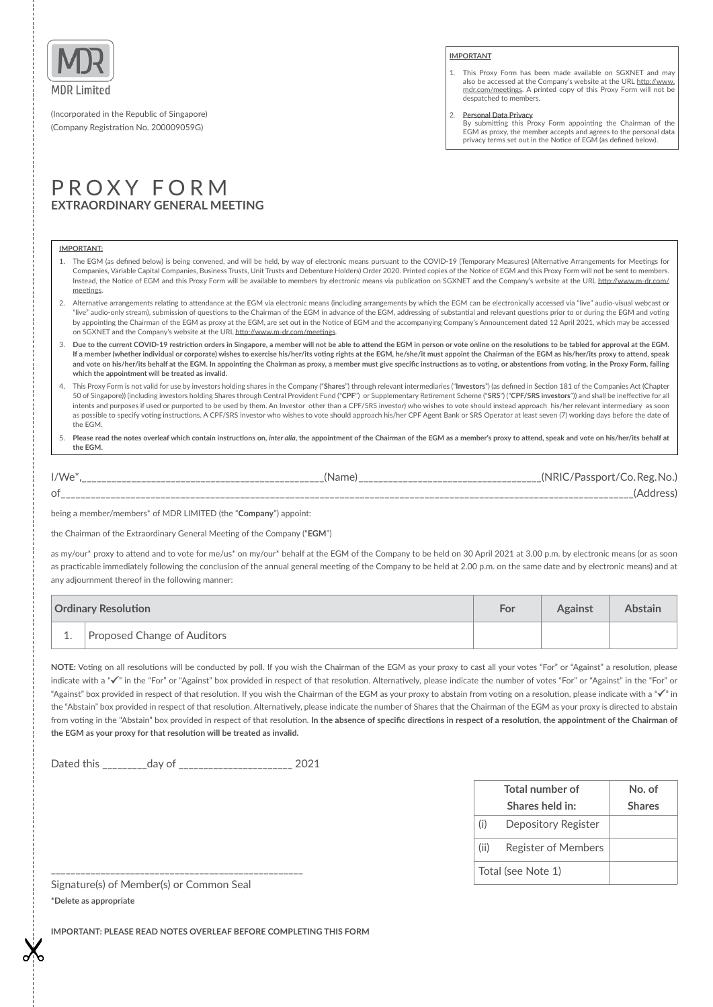

(Incorporated in the Republic of Singapore) (Company Registraton No. 200009059G)

## PROXY FORM **EXTRAORDINARY GENERAL MEETING**

### **IMPORTANT:**

1. The EGM (as defned below) is being convened, and will be held, by way of electronic means pursuant to the COVID-19 (Temporary Measures) (Alternatve Arrangements for Meetngs for Companies, Variable Capital Companies, Business Trusts, Unit Trusts and Debenture Holders) Order 2020. Printed copies of the Notce of EGM and this Proxy Form will not be sent to members. Instead, the Notice of EGM and this Proxy Form will be available to members by electronic means via publication on SGXNET and the Company's website at the URL http://www.m-dr.com/ meetings.

**IMPORTANT**

despatched to members. 2. **Personal Data Privacy**

1. This Proxy Form has been made available on SGXNET and may also be accessed at the Company's website at the URL http://www.<br>mdr.com/meetings. A printed copy of this Proxy Form will not be

By submitting this Proxy Form appointing the Chairman of the EGM as proxy, the member accepts and agrees to the personal data privacy terms set out in the Notce of EGM (as defned below).

- 2. Alternative arrangements relating to attendance at the EGM via electronic means (including arrangements by which the EGM can be electronically accessed via "live" audio-visual webcast or "live" audio-only stream), submission of questions to the Chairman of the EGM in advance of the EGM, addressing of substantial and relevant questions prior to or during the EGM and voting by appointing the Chairman of the EGM as proxy at the EGM, are set out in the Notice of EGM and the accompanying Company's Announcement dated 12 April 2021, which may be accessed on SGXNET and the Company's website at the URL [htp://www.m-dr.com/meetngs](http://www.m-dr.com/meetings).
- 3. **Due to the current COVID-19 restricton orders in Singapore, a member will not be able to atend the EGM in person or vote online on the resolutons to be tabled for approval at the EGM.**  If a member (whether individual or corporate) wishes to exercise his/her/its voting rights at the EGM, he/she/it must appoint the Chairman of the EGM as his/her/its proxy to attend, speak and vote on his/her/its behalf at the EGM. In appointing the Chairman as proxy, a member must give specific instructions as to voting, or abstentions from voting, in the Proxy Form, failing **which the appointment will be treated as invalid.**
- 4. This Proxy Form is not valid for use by investors holding shares in the Company ("**Shares**") through relevant intermediaries ("**Investors**") (as defned in Secton 181 of the Companies Act (Chapter 50 of Singapore)) (including investors holding Shares through Central Provident Fund ("**CPF**") or Supplementary Retrement Scheme ("**SRS**") ("**CPF/SRS investors**")) and shall be inefectve for all intents and purposes if used or purported to be used by them. An Investor other than a CPF/SRS investor) who wishes to vote should instead approach his/her relevant intermediary as soon as possible to specify voting instructions. A CPF/SRS investor who wishes to vote should approach his/her CPF Agent Bank or SRS Operator at least seven (7) working days before the date of the EGM.
- 5. **Please read the notes overleaf which contain instructons on,** *inter alia***, the appointment of the Chairman of the EGM as a member's proxy to atend, speak and vote on his/her/its behalf at the EGM.**

| $I/We^*$                       | IName.<br>- | (NRIC |
|--------------------------------|-------------|-------|
| οf<br>$\overline{\phantom{a}}$ |             |       |

being a member/members\* of MDR LIMITED (the "**Company**") appoint:

the Chairman of the Extraordinary General Meetng of the Company ("**EGM**")

as my/our\* proxy to attend and to vote for me/us\* on my/our\* behalf at the EGM of the Company to be held on 30 April 2021 at 3.00 p.m. by electronic means (or as soon as practicable immediately following the conclusion of the annual general meeting of the Company to be held at 2.00 p.m. on the same date and by electronic means) and at any adjournment thereof in the following manner:

| <b>Ordinary Resolution</b> |                             | For | <b>Against</b> | <b>Abstain</b> |
|----------------------------|-----------------------------|-----|----------------|----------------|
| ⊥.                         | Proposed Change of Auditors |     |                |                |

NOTE: Voting on all resolutions will be conducted by poll. If you wish the Chairman of the EGM as your proxy to cast all your votes "For" or "Against" a resolution, please indicate with a " $\checkmark$ " in the "For" or "Against" box provided in respect of that resolution. Alternatively, please indicate the number of votes "For" or "Against" in the "For" or "Against" box provided in respect of that resolution. If you wish the Chairman of the EGM as your proxy to abstain from voting on a resolution, please indicate with a " $\checkmark$ " in the "Abstain" box provided in respect of that resolution. Alternatively, please indicate the number of Shares that the Chairman of the EGM as your proxy is directed to abstain from voting in the "Abstain" box provided in respect of that resolution. In the absence of specific directions in respect of a resolution, the appointment of the Chairman of **the EGM as your proxy for that resoluton will be treated as invalid.**

Dated this \_\_\_\_\_\_\_\_\_day of \_\_\_\_\_\_\_\_\_\_\_\_\_\_\_\_\_\_\_\_\_\_\_ 2021

| Total number of    |                            | No. of        |
|--------------------|----------------------------|---------------|
|                    | Shares held in:            | <b>Shares</b> |
| (i)                | Depository Register        |               |
| (ii)               | <b>Register of Members</b> |               |
| Total (see Note 1) |                            |               |

Signature(s) of Member(s) or Common Seal **\*Delete as appropriate**

\_\_\_\_\_\_\_\_\_\_\_\_\_\_\_\_\_\_\_\_\_\_\_\_\_\_\_\_\_\_\_\_\_\_\_\_\_\_\_\_\_\_\_\_\_\_\_\_\_\_\_

**IMPORTANT: PLEASE READ NOTES OVERLEAF BEFORE COMPLETING THIS FORM**